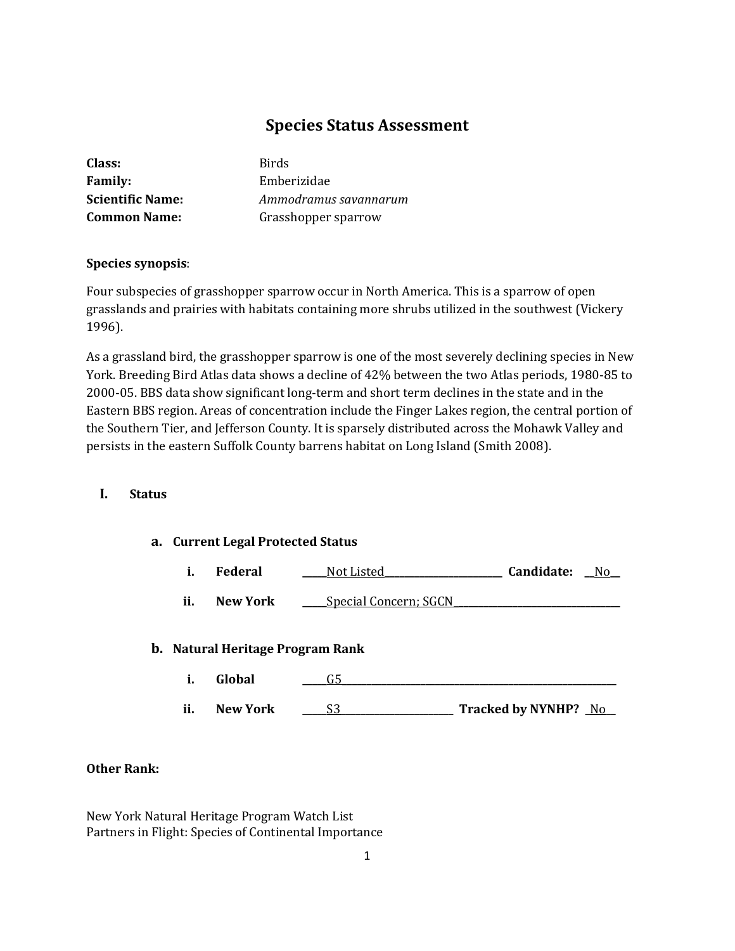# **Species Status Assessment**

| Class:                  | <b>Birds</b>          |
|-------------------------|-----------------------|
| <b>Family:</b>          | Emberizidae           |
| <b>Scientific Name:</b> | Ammodramus savannarum |
| <b>Common Name:</b>     | Grasshopper sparrow   |

## **Species synopsis**:

Four subspecies of grasshopper sparrow occur in North America. This is a sparrow of open grasslands and prairies with habitats containing more shrubs utilized in the southwest (Vickery 1996).

As a grassland bird, the grasshopper sparrow is one of the most severely declining species in New York. Breeding Bird Atlas data shows a decline of 42% between the two Atlas periods, 1980-85 to 2000-05. BBS data show significant long-term and short term declines in the state and in the Eastern BBS region. Areas of concentration include the Finger Lakes region, the central portion of the Southern Tier, and Jefferson County. It is sparsely distributed across the Mohawk Valley and persists in the eastern Suffolk County barrens habitat on Long Island (Smith 2008).

## **I. Status**

## **a. Current Legal Protected Status**

|  | Federal | Not Listed | Candidate: | N٢ |
|--|---------|------------|------------|----|
|--|---------|------------|------------|----|

**ii. New York \_\_\_\_** Special Concern; SGCN

## **b. Natural Heritage Program Rank**

- **i. Global \_\_\_\_\_**G5**\_\_\_\_\_\_\_\_\_\_\_\_\_\_\_\_\_\_\_\_\_\_\_\_\_\_\_\_\_\_\_\_\_\_\_\_\_\_\_\_\_\_\_\_\_\_\_\_\_\_\_\_\_\_\_\_**
- **ii. New York \_\_\_\_\_**S3**\_\_\_\_\_\_\_\_\_\_\_\_\_\_\_\_\_\_\_\_\_\_\_ Tracked by NYNHP? \_**No**\_\_**

## **Other Rank:**

New York Natural Heritage Program Watch List Partners in Flight: Species of Continental Importance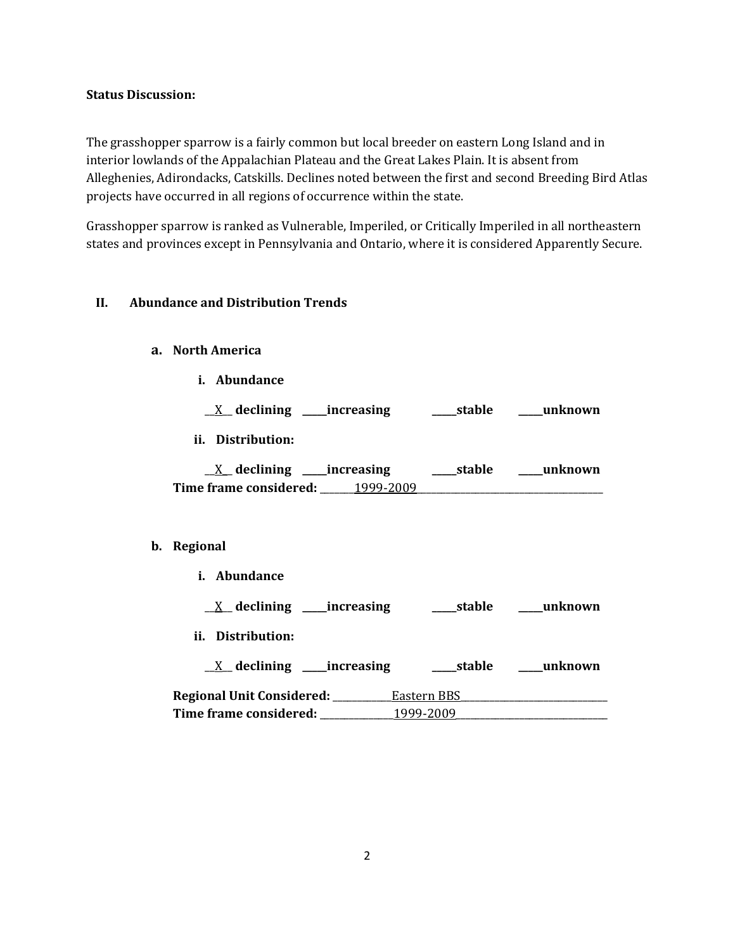#### **Status Discussion:**

The grasshopper sparrow is a fairly common but local breeder on eastern Long Island and in interior lowlands of the Appalachian Plateau and the Great Lakes Plain. It is absent from Alleghenies, Adirondacks, Catskills. Declines noted between the first and second Breeding Bird Atlas projects have occurred in all regions of occurrence within the state.

Grasshopper sparrow is ranked as Vulnerable, Imperiled, or Critically Imperiled in all northeastern states and provinces except in Pennsylvania and Ontario, where it is considered Apparently Secure.

## **II. Abundance and Distribution Trends**

## **a. North America**

**i. Abundance**

\_\_X\_\_ **declining \_\_\_\_\_increasing \_\_\_\_\_stable \_\_\_\_\_unknown**

**ii. Distribution:**

| declining              | increasing | stable | unknown |
|------------------------|------------|--------|---------|
| Time frame considered: | 1999-2009  |        |         |

## **b. Regional**

| <i>i.</i> Abundance              |             |         |
|----------------------------------|-------------|---------|
| $X$ declining ______ increasing  | ____stable  | unknown |
| ii. Distribution:                |             |         |
| $X$ declining ______ increasing  | stable      | unknown |
| Regional Unit Considered: ______ | Eastern BBS |         |
| <b>Time frame considered:</b>    | 1999-2009   |         |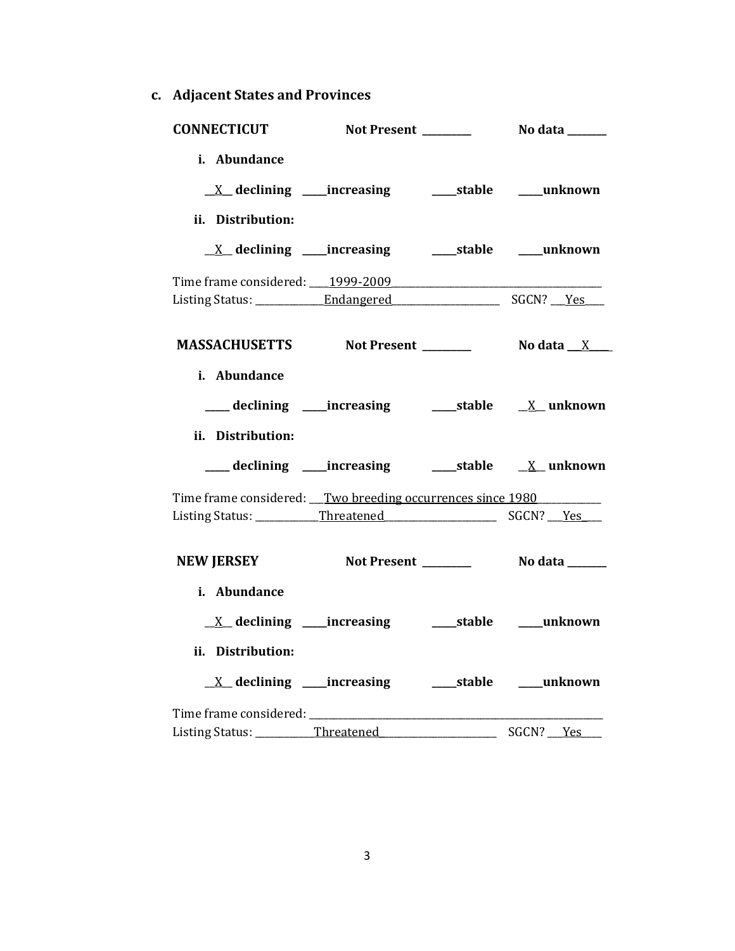**c. Adjacent States and Provinces**

| <b>CONNECTICUT</b>                                         |                                                              |                          |           |
|------------------------------------------------------------|--------------------------------------------------------------|--------------------------|-----------|
| i. Abundance<br>ii. Distribution:                          | <u>X</u> declining ____increasing ______stable _____unknown  |                          |           |
|                                                            | <u>X</u> declining ____increasing _______stable _____unknown |                          |           |
| Time frame considered: 1999-2009                           |                                                              |                          |           |
|                                                            |                                                              |                          |           |
| MASSACHUSETTS Not Present Modata X                         |                                                              |                          |           |
| i. Abundance<br>ii. Distribution:                          |                                                              |                          |           |
|                                                            | ___ declining ____increasing ______stable ___ X__unknown     |                          |           |
| Time frame considered: Two breeding occurrences since 1980 |                                                              |                          |           |
|                                                            |                                                              |                          |           |
| NEW JERSEY Not Present __________ No data ______           |                                                              |                          |           |
| i. Abundance                                               |                                                              |                          |           |
|                                                            |                                                              |                          |           |
| ii. Distribution:                                          |                                                              |                          |           |
|                                                            | <u>X</u> declining ____increasing ______stable ____unknown   |                          |           |
|                                                            |                                                              |                          |           |
| Listing Status: _________Threatened                        |                                                              | $\overline{\phantom{a}}$ | SGCN? Yes |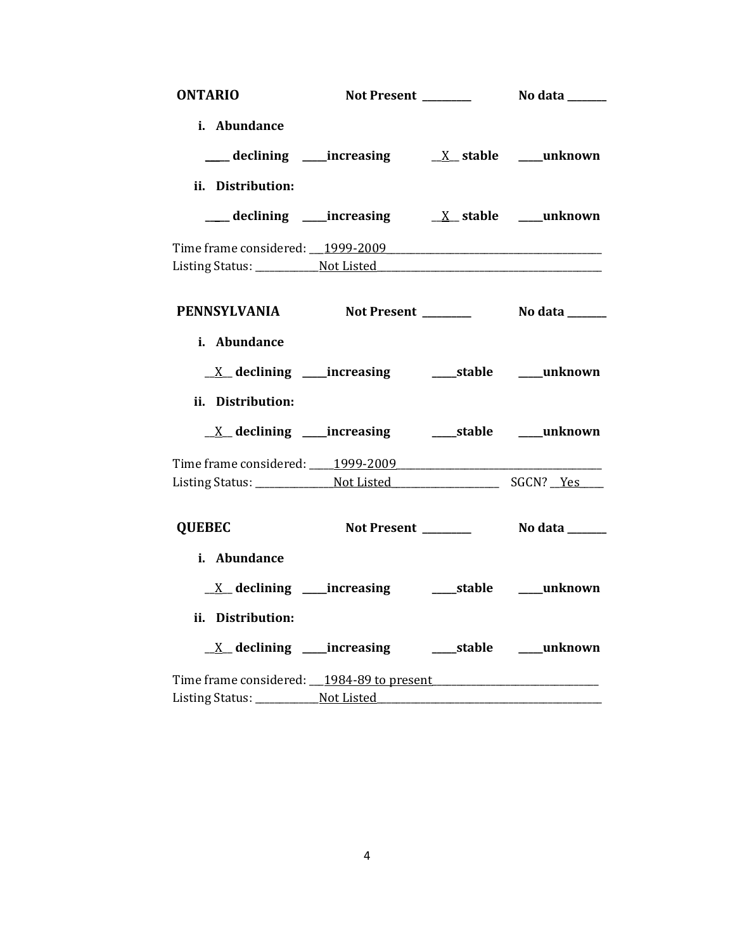| <b>ONTARIO</b>                                    |                                                             |                |
|---------------------------------------------------|-------------------------------------------------------------|----------------|
| i. Abundance                                      |                                                             |                |
|                                                   |                                                             |                |
| ii. Distribution:                                 |                                                             |                |
|                                                   |                                                             |                |
|                                                   |                                                             |                |
|                                                   |                                                             |                |
| PENNSYLVANIA Not Present _________ No data ______ |                                                             |                |
| i. Abundance                                      |                                                             |                |
|                                                   | <u>X</u> declining ____increasing ______stable ____unknown  |                |
| ii. Distribution:                                 |                                                             |                |
|                                                   | <u>X</u> declining ____increasing _______stable ____unknown |                |
| Time frame considered: 1999-2009                  |                                                             |                |
|                                                   |                                                             |                |
| <b>QUEBEC</b>                                     | Not Present ________                                        | No data ______ |
| i. Abundance                                      |                                                             |                |
|                                                   |                                                             |                |
| ii. Distribution:                                 |                                                             |                |
|                                                   | <u>X</u> declining ____increasing ______stable ____unknown  |                |
|                                                   |                                                             |                |
|                                                   |                                                             |                |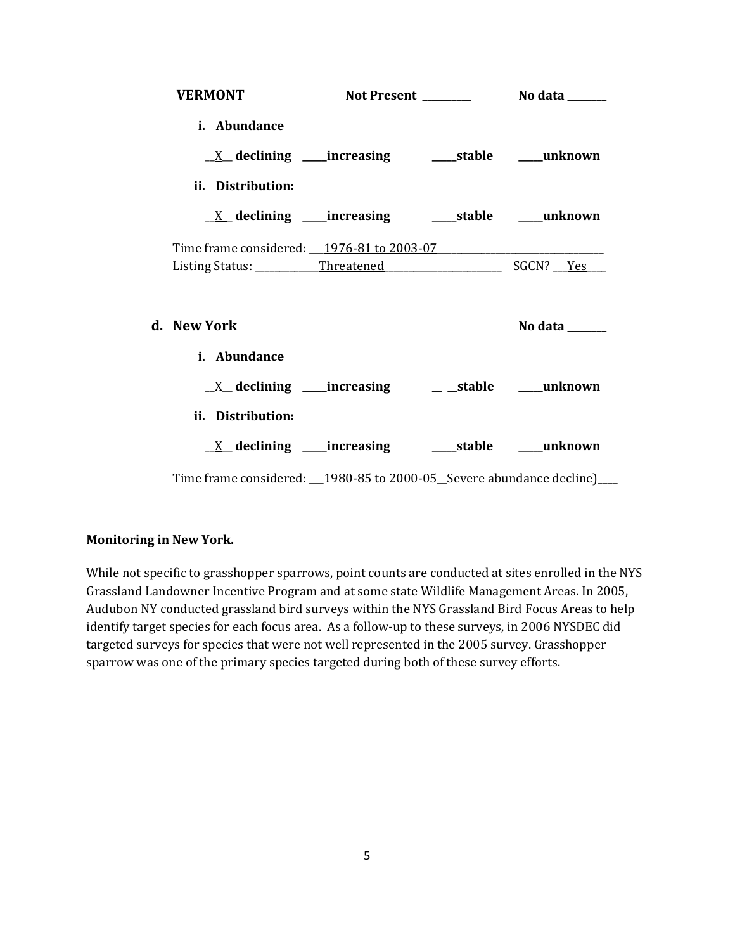| <b>VERMONT</b>                            |                                                                        |                                                                             |
|-------------------------------------------|------------------------------------------------------------------------|-----------------------------------------------------------------------------|
| i. Abundance                              |                                                                        |                                                                             |
|                                           |                                                                        |                                                                             |
| ii. Distribution:                         |                                                                        |                                                                             |
|                                           | $\underline{X}$ declining ____increasing _________stable ______unknown |                                                                             |
| Time frame considered: 1976-81 to 2003-07 |                                                                        |                                                                             |
|                                           |                                                                        |                                                                             |
|                                           |                                                                        |                                                                             |
| d. – New York                             |                                                                        | No data $\frac{1}{\sqrt{1-\frac{1}{2}}\cdot\frac{1}{\sqrt{1-\frac{1}{2}}}}$ |
| i. Abundance                              |                                                                        |                                                                             |
|                                           |                                                                        |                                                                             |
| ii. Distribution:                         |                                                                        |                                                                             |
|                                           |                                                                        |                                                                             |

## **Monitoring in New York.**

While not specific to grasshopper sparrows, point counts are conducted at sites enrolled in the NYS Grassland Landowner Incentive Program and at some state Wildlife Management Areas. In 2005, Audubon NY conducted grassland bird surveys within the NYS Grassland Bird Focus Areas to help identify target species for each focus area. As a follow-up to these surveys, in 2006 NYSDEC did targeted surveys for species that were not well represented in the 2005 survey. Grasshopper sparrow was one of the primary species targeted during both of these survey efforts.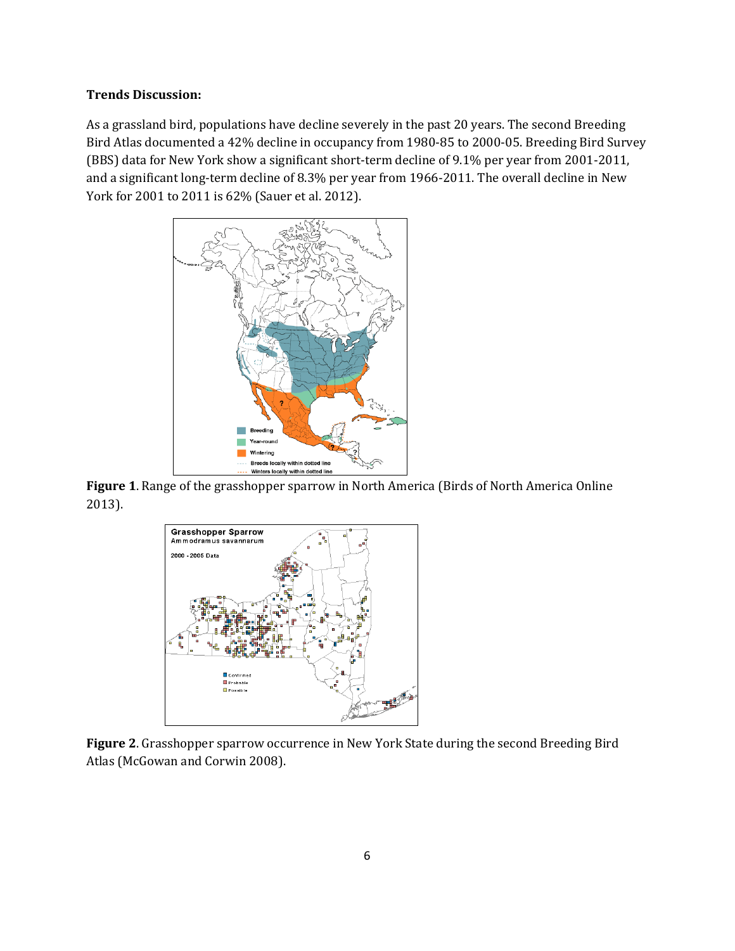#### **Trends Discussion:**

As a grassland bird, populations have decline severely in the past 20 years. The second Breeding Bird Atlas documented a 42% decline in occupancy from 1980-85 to 2000-05. Breeding Bird Survey (BBS) data for New York show a significant short-term decline of 9.1% per year from 2001-2011, and a significant long-term decline of 8.3% per year from 1966-2011. The overall decline in New York for 2001 to 2011 is 62% (Sauer et al. 2012).



**Figure 1**. Range of the grasshopper sparrow in North America (Birds of North America Online 2013).



**Figure 2**. Grasshopper sparrow occurrence in New York State during the second Breeding Bird Atlas (McGowan and Corwin 2008).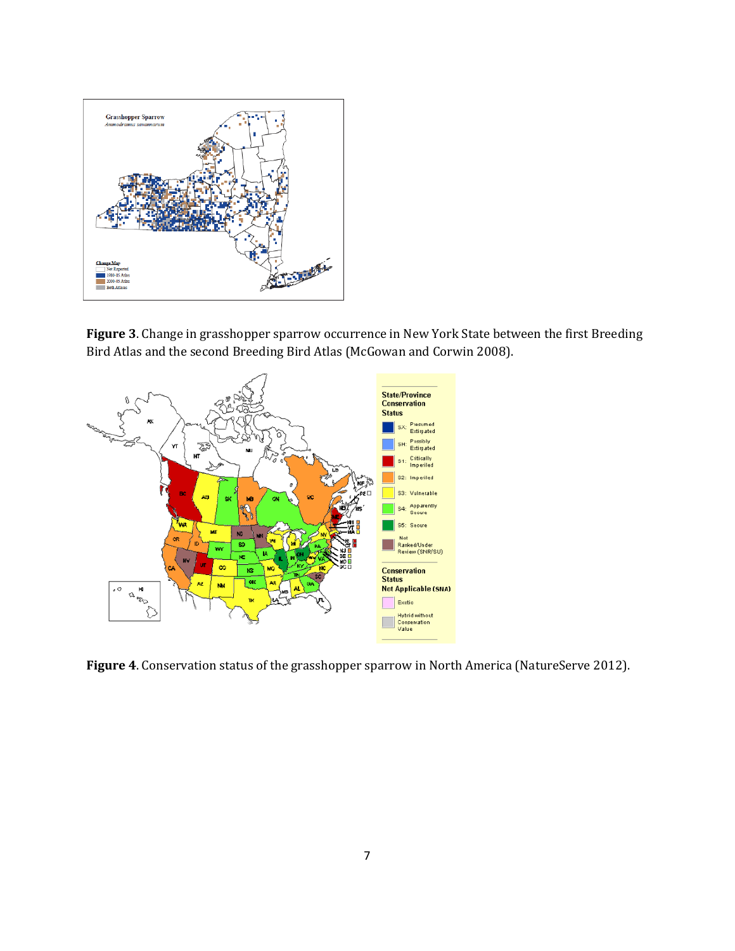

**Figure 3**. Change in grasshopper sparrow occurrence in New York State between the first Breeding Bird Atlas and the second Breeding Bird Atlas (McGowan and Corwin 2008).



**Figure 4**. Conservation status of the grasshopper sparrow in North America (NatureServe 2012).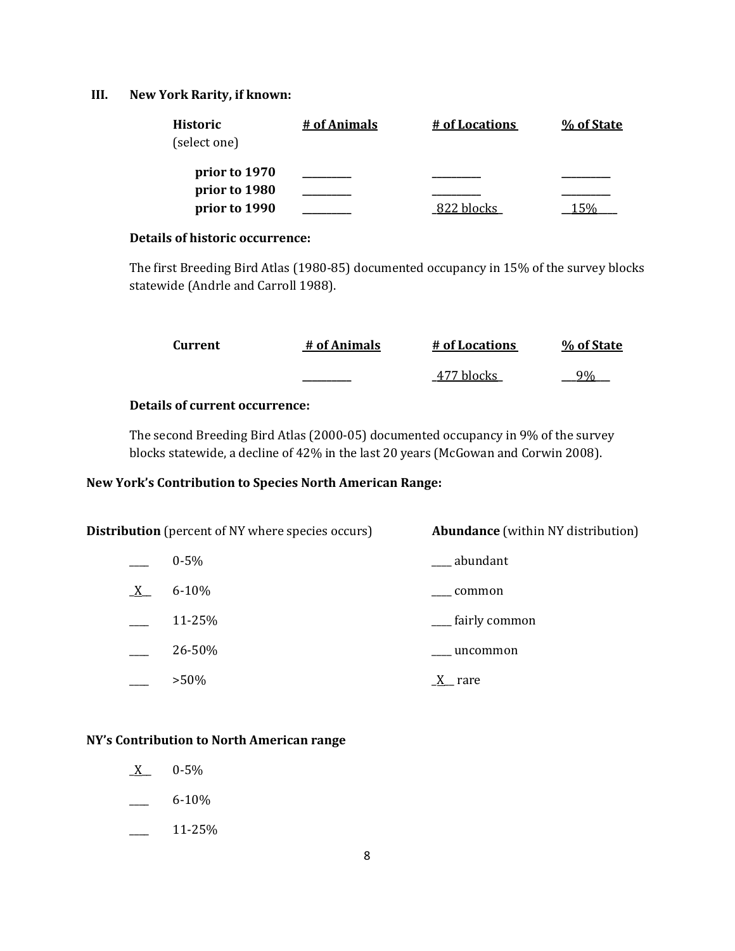## **III. New York Rarity, if known:**

| <b>Historic</b><br>(select one) | # of Animals | # of Locations | % of State |
|---------------------------------|--------------|----------------|------------|
| prior to 1970                   |              |                |            |
| prior to 1980<br>prior to 1990  |              | 822 blocks     |            |

# **Details of historic occurrence:**

The first Breeding Bird Atlas (1980-85) documented occupancy in 15% of the survey blocks statewide (Andrle and Carroll 1988).

| Current | # of Animals | # of Locations | % of State |
|---------|--------------|----------------|------------|
|         |              | 477 blocks     | 9%         |

## **Details of current occurrence:**

The second Breeding Bird Atlas (2000-05) documented occupancy in 9% of the survey blocks statewide, a decline of 42% in the last 20 years (McGowan and Corwin 2008).

## **New York's Contribution to Species North American Range:**

| <b>Distribution</b> (percent of NY where species occurs) |           | <b>Abundance</b> (within NY distribution) |
|----------------------------------------------------------|-----------|-------------------------------------------|
|                                                          | $0 - 5\%$ | abundant                                  |
| $X_{-}$                                                  | $6 - 10%$ | common                                    |
|                                                          | 11-25%    | <sub>___</sub> fairly common              |
|                                                          | 26-50%    | uncommon                                  |
|                                                          | $>50\%$   | rare                                      |

## **NY's Contribution to North American range**

- $X$  0-5%
- $-6 10\%$
- $\frac{11-25\%}{ }$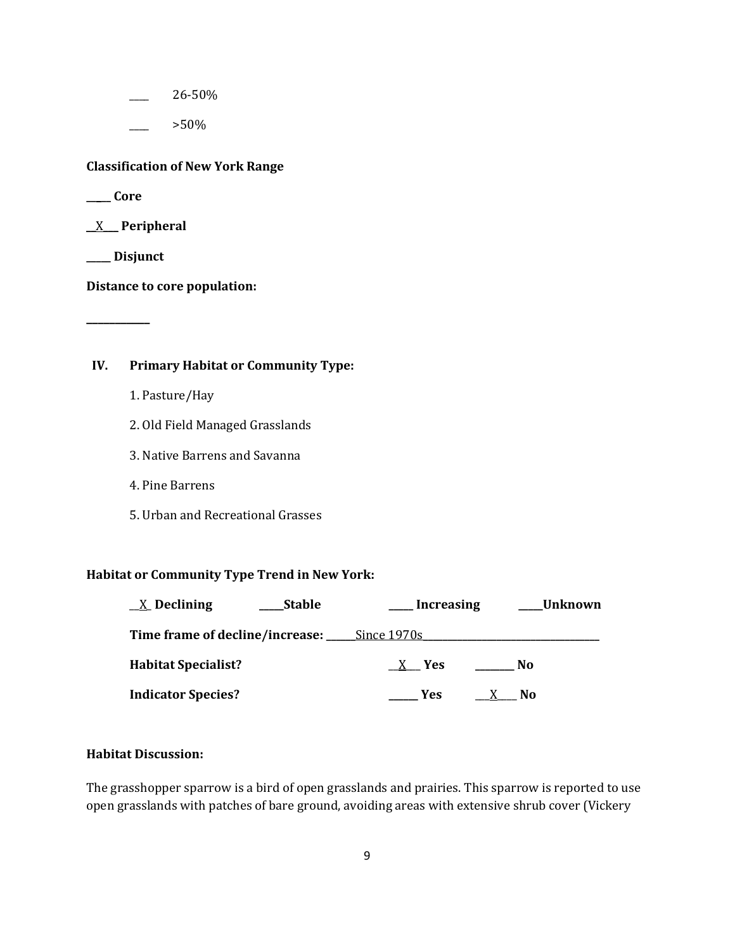\_\_\_\_ 26-50%

 $>50\%$ 

**Classification of New York Range**

**\_\_\_\_\_ Core**

\_\_X\_\_\_ **Peripheral**

**\_\_\_\_\_ Disjunct**

**\_\_\_\_\_\_\_\_\_\_\_**

**Distance to core population:**

# **IV. Primary Habitat or Community Type:**

- 1. Pasture/Hay
- 2. Old Field Managed Grasslands
- 3. Native Barrens and Savanna
- 4. Pine Barrens
- 5. Urban and Recreational Grasses

## **Habitat or Community Type Trend in New York:**

| $\underline{X}$ Declining                                 | <b>Stable</b> | <b>Increasing</b> | Unknown             |  |
|-----------------------------------------------------------|---------------|-------------------|---------------------|--|
| <b>Time frame of decline/increase: _____ Since 1970s_</b> |               |                   |                     |  |
| <b>Habitat Specialist?</b>                                |               | X Yes             | No.                 |  |
| <b>Indicator Species?</b>                                 |               | <b>Example SE</b> | N <sub>0</sub><br>X |  |

## **Habitat Discussion:**

The grasshopper sparrow is a bird of open grasslands and prairies. This sparrow is reported to use open grasslands with patches of bare ground, avoiding areas with extensive shrub cover (Vickery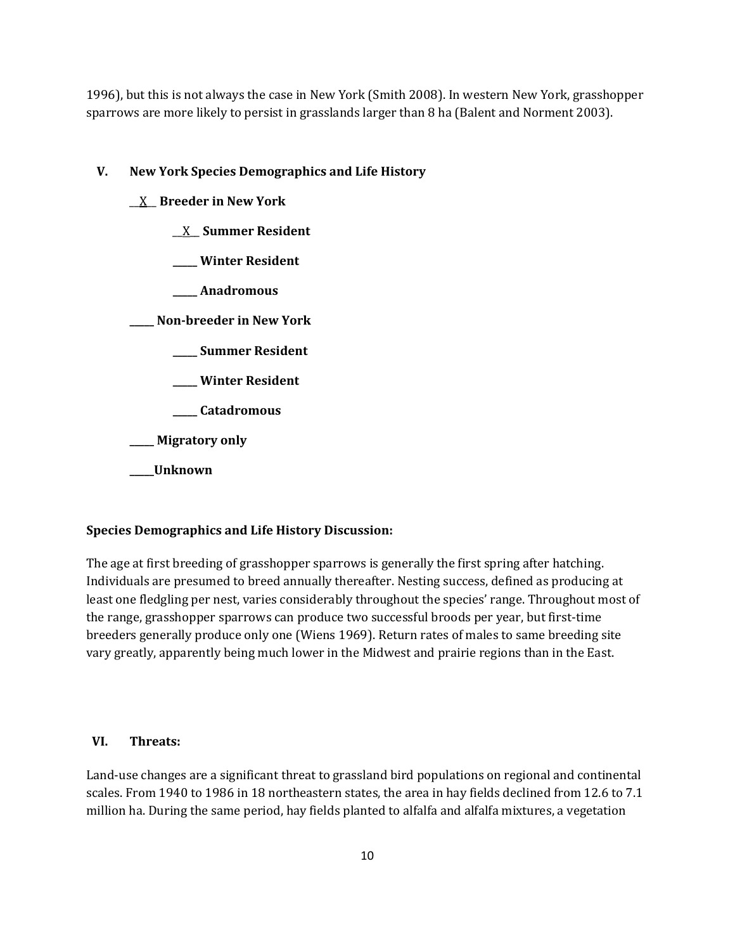1996), but this is not always the case in New York (Smith 2008). In western New York, grasshopper sparrows are more likely to persist in grasslands larger than 8 ha (Balent and Norment 2003).

## **V. New York Species Demographics and Life History**

- \_\_X\_\_ **Breeder in New York**
	- \_\_X\_\_ **Summer Resident**
	- **\_\_\_\_\_ Winter Resident**
	- **\_\_\_\_\_ Anadromous**

**\_\_\_\_\_ Non-breeder in New York**

- **\_\_\_\_\_ Summer Resident**
- **\_\_\_\_\_ Winter Resident**
- **\_\_\_\_\_ Catadromous**

**\_\_\_\_\_ Migratory only**

**\_\_\_\_\_Unknown**

## **Species Demographics and Life History Discussion:**

The age at first breeding of grasshopper sparrows is generally the first spring after hatching. Individuals are presumed to breed annually thereafter. Nesting success, defined as producing at least one fledgling per nest, varies considerably throughout the species' range. Throughout most of the range, grasshopper sparrows can produce two successful broods per year, but first-time breeders generally produce only one (Wiens 1969). Return rates of males to same breeding site vary greatly, apparently being much lower in the Midwest and prairie regions than in the East.

## **VI. Threats:**

Land-use changes are a significant threat to grassland bird populations on regional and continental scales. From 1940 to 1986 in 18 northeastern states, the area in hay fields declined from 12.6 to 7.1 million ha. During the same period, hay fields planted to alfalfa and alfalfa mixtures, a vegetation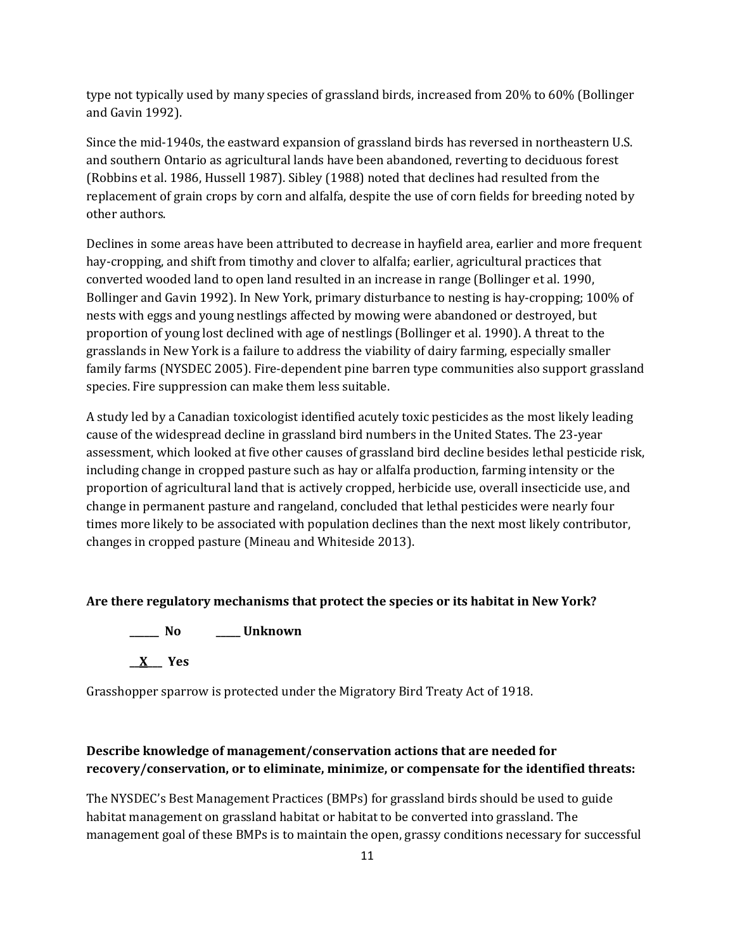type not typically used by many species of grassland birds, increased from 20% to 60% (Bollinger and Gavin 1992).

Since the mid-1940s, the eastward expansion of grassland birds has reversed in northeastern U.S. and southern Ontario as agricultural lands have been abandoned, reverting to deciduous forest (Robbins et al. 1986, Hussell 1987). Sibley (1988) noted that declines had resulted from the replacement of grain crops by corn and alfalfa, despite the use of corn fields for breeding noted by other authors.

Declines in some areas have been attributed to decrease in hayfield area, earlier and more frequent hay-cropping, and shift from timothy and clover to alfalfa; earlier, agricultural practices that converted wooded land to open land resulted in an increase in range (Bollinger et al. 1990, Bollinger and Gavin 1992). In New York, primary disturbance to nesting is hay-cropping; 100% of nests with eggs and young nestlings affected by mowing were abandoned or destroyed, but proportion of young lost declined with age of nestlings (Bollinger et al. 1990). A threat to the grasslands in New York is a failure to address the viability of dairy farming, especially smaller family farms (NYSDEC 2005). Fire-dependent pine barren type communities also support grassland species. Fire suppression can make them less suitable.

A study led by a Canadian toxicologist identified acutely toxic pesticides as the most likely leading cause of the widespread decline in grassland bird numbers in the United States. The 23-year assessment, which looked at five other causes of grassland bird decline besides lethal pesticide risk, including change in cropped pasture such as hay or alfalfa production, farming intensity or the proportion of agricultural land that is actively cropped, herbicide use, overall insecticide use, and change in permanent pasture and rangeland, concluded that lethal pesticides were nearly four times more likely to be associated with population declines than the next most likely contributor, changes in cropped pasture (Mineau and Whiteside 2013).

## **Are there regulatory mechanisms that protect the species or its habitat in New York?**

**\_\_\_\_\_\_ No \_\_\_\_\_ Unknown**

**\_\_X\_\_\_ Yes** 

Grasshopper sparrow is protected under the Migratory Bird Treaty Act of 1918.

# **Describe knowledge of management/conservation actions that are needed for recovery/conservation, or to eliminate, minimize, or compensate for the identified threats:**

The NYSDEC's Best Management Practices (BMPs) for grassland birds should be used to guide habitat management on grassland habitat or habitat to be converted into grassland. The management goal of these BMPs is to maintain the open, grassy conditions necessary for successful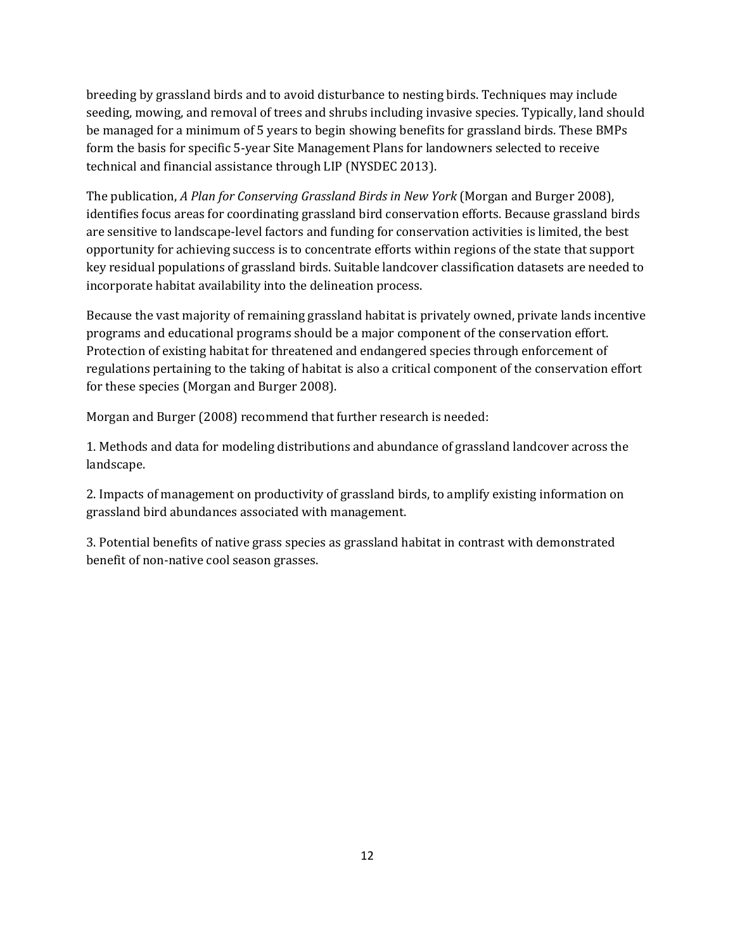breeding by grassland birds and to avoid disturbance to nesting birds. Techniques may include seeding, mowing, and removal of trees and shrubs including invasive species. Typically, land should be managed for a minimum of 5 years to begin showing benefits for grassland birds. These BMPs form the basis for specific 5-year Site Management Plans for landowners selected to receive technical and financial assistance through LIP (NYSDEC 2013).

The publication, *A Plan for Conserving Grassland Birds in New York* (Morgan and Burger 2008), identifies focus areas for coordinating grassland bird conservation efforts. Because grassland birds are sensitive to landscape-level factors and funding for conservation activities is limited, the best opportunity for achieving success is to concentrate efforts within regions of the state that support key residual populations of grassland birds. Suitable landcover classification datasets are needed to incorporate habitat availability into the delineation process.

Because the vast majority of remaining grassland habitat is privately owned, private lands incentive programs and educational programs should be a major component of the conservation effort. Protection of existing habitat for threatened and endangered species through enforcement of regulations pertaining to the taking of habitat is also a critical component of the conservation effort for these species (Morgan and Burger 2008).

Morgan and Burger (2008) recommend that further research is needed:

1. Methods and data for modeling distributions and abundance of grassland landcover across the landscape.

2. Impacts of management on productivity of grassland birds, to amplify existing information on grassland bird abundances associated with management.

3. Potential benefits of native grass species as grassland habitat in contrast with demonstrated benefit of non-native cool season grasses.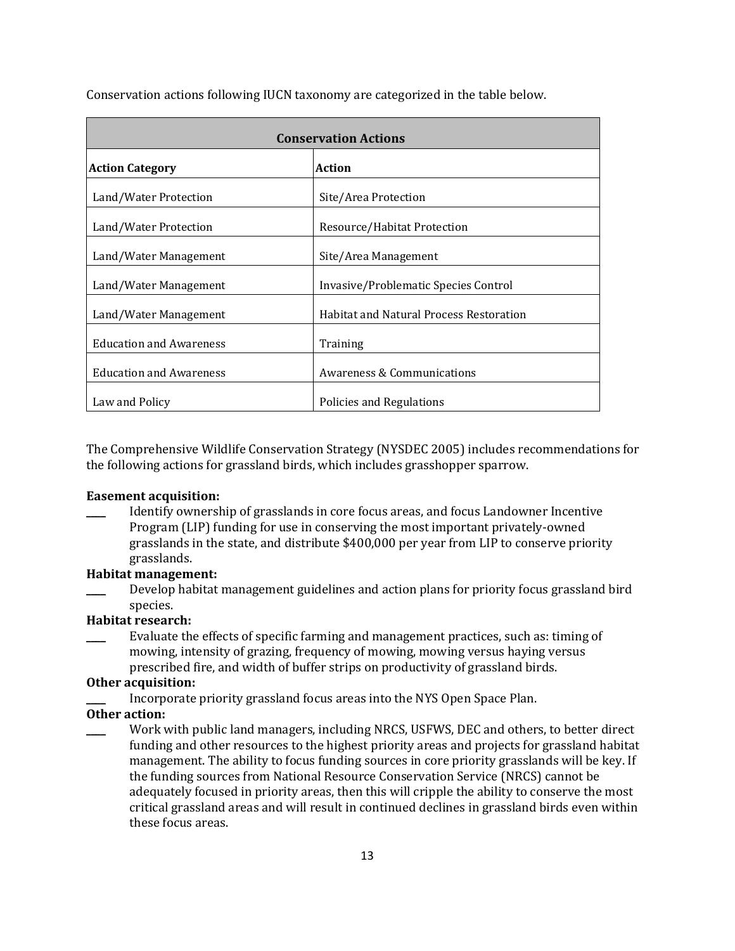| <b>Conservation Actions</b>    |                                                |  |
|--------------------------------|------------------------------------------------|--|
| <b>Action Category</b>         | <b>Action</b>                                  |  |
| Land/Water Protection          | Site/Area Protection                           |  |
| Land/Water Protection          | Resource/Habitat Protection                    |  |
| Land/Water Management          | Site/Area Management                           |  |
| Land/Water Management          | Invasive/Problematic Species Control           |  |
| Land/Water Management          | <b>Habitat and Natural Process Restoration</b> |  |
| <b>Education and Awareness</b> | Training                                       |  |
| <b>Education and Awareness</b> | Awareness & Communications                     |  |
| Law and Policy                 | Policies and Regulations                       |  |

Conservation actions following IUCN taxonomy are categorized in the table below.

The Comprehensive Wildlife Conservation Strategy (NYSDEC 2005) includes recommendations for the following actions for grassland birds, which includes grasshopper sparrow.

#### **Easement acquisition:**

\_\_\_\_ Identify ownership of grasslands in core focus areas, and focus Landowner Incentive Program (LIP) funding for use in conserving the most important privately-owned grasslands in the state, and distribute \$400,000 per year from LIP to conserve priority grasslands.

#### **Habitat management:**

Develop habitat management guidelines and action plans for priority focus grassland bird species.

## **Habitat research:**

\_\_\_\_ Evaluate the effects of specific farming and management practices, such as: timing of mowing, intensity of grazing, frequency of mowing, mowing versus haying versus prescribed fire, and width of buffer strips on productivity of grassland birds.

#### **Other acquisition:**

Incorporate priority grassland focus areas into the NYS Open Space Plan.

#### **Other action:**

Work with public land managers, including NRCS, USFWS, DEC and others, to better direct funding and other resources to the highest priority areas and projects for grassland habitat management. The ability to focus funding sources in core priority grasslands will be key. If the funding sources from National Resource Conservation Service (NRCS) cannot be adequately focused in priority areas, then this will cripple the ability to conserve the most critical grassland areas and will result in continued declines in grassland birds even within these focus areas.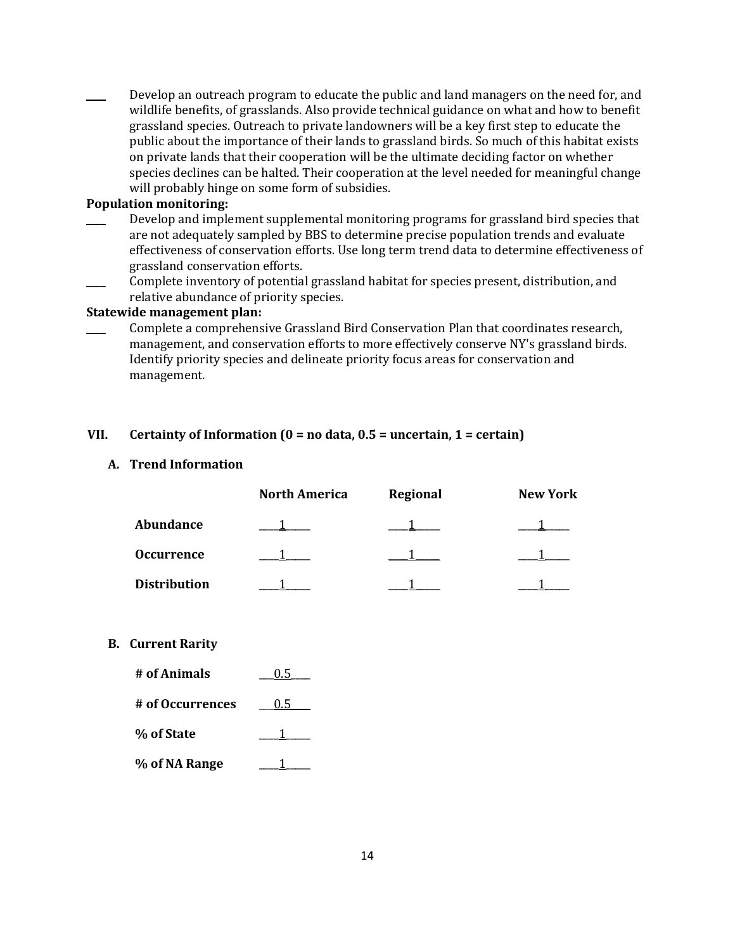Develop an outreach program to educate the public and land managers on the need for, and wildlife benefits, of grasslands. Also provide technical guidance on what and how to benefit grassland species. Outreach to private landowners will be a key first step to educate the public about the importance of their lands to grassland birds. So much of this habitat exists on private lands that their cooperation will be the ultimate deciding factor on whether species declines can be halted. Their cooperation at the level needed for meaningful change will probably hinge on some form of subsidies.

#### **Population monitoring:**

- Develop and implement supplemental monitoring programs for grassland bird species that are not adequately sampled by BBS to determine precise population trends and evaluate effectiveness of conservation efforts. Use long term trend data to determine effectiveness of grassland conservation efforts.
- Complete inventory of potential grassland habitat for species present, distribution, and relative abundance of priority species.

#### **Statewide management plan:**

\_\_\_\_ Complete a comprehensive Grassland Bird Conservation Plan that coordinates research, management, and conservation efforts to more effectively conserve NY's grassland birds. Identify priority species and delineate priority focus areas for conservation and management.

## **VII. Certainty of Information (0 = no data, 0.5 = uncertain, 1 = certain)**

## **A. Trend Information**

|                     | <b>North America</b> | Regional | <b>New York</b> |
|---------------------|----------------------|----------|-----------------|
| Abundance           |                      |          |                 |
| <b>Occurrence</b>   |                      |          |                 |
| <b>Distribution</b> |                      |          |                 |

## **B. Current Rarity**

| # of Animals     | 0.5           |
|------------------|---------------|
| # of Occurrences | $0.5^{\circ}$ |
| % of State       |               |
| % of NA Range    |               |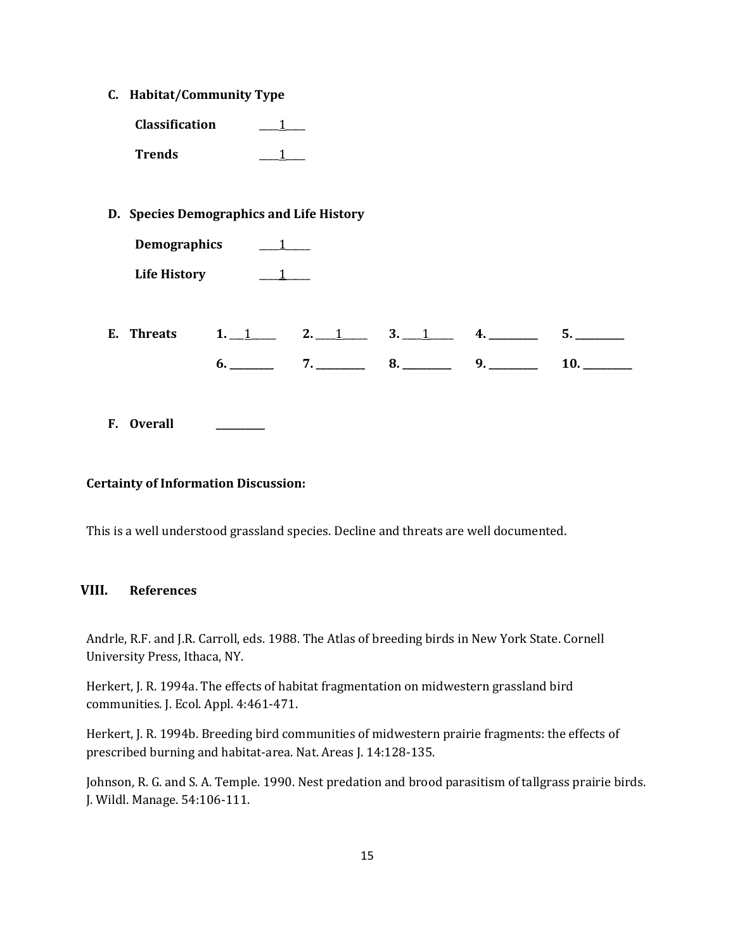**C. Habitat/Community Type**

**Classification** \_\_\_\_1\_\_\_\_ **Trends** \_\_\_\_\_1\_\_

**D. Species Demographics and Life History**

| <b>Demographics</b> |  |
|---------------------|--|
| <b>Life History</b> |  |

| E. | л.<br>_____ |             | c<br><br>____ | __________ | . .<br>_______<br>--- |
|----|-------------|-------------|---------------|------------|-----------------------|
|    | __________  | ___________ | __________    | __________ | ___________           |

**F. Overall \_\_\_\_\_\_\_\_\_\_**

## **Certainty of Information Discussion:**

This is a well understood grassland species. Decline and threats are well documented.

# **VIII. References**

Andrle, R.F. and J.R. Carroll, eds. 1988. The Atlas of breeding birds in New York State. Cornell University Press, Ithaca, NY.

Herkert, J. R. 1994a. The effects of habitat fragmentation on midwestern grassland bird communities. J. Ecol. Appl. 4:461-471.

Herkert, J. R. 1994b. Breeding bird communities of midwestern prairie fragments: the effects of prescribed burning and habitat-area. Nat. Areas J. 14:128-135.

Johnson, R. G. and S. A. Temple. 1990. Nest predation and brood parasitism of tallgrass prairie birds. J. Wildl. Manage. 54:106-111.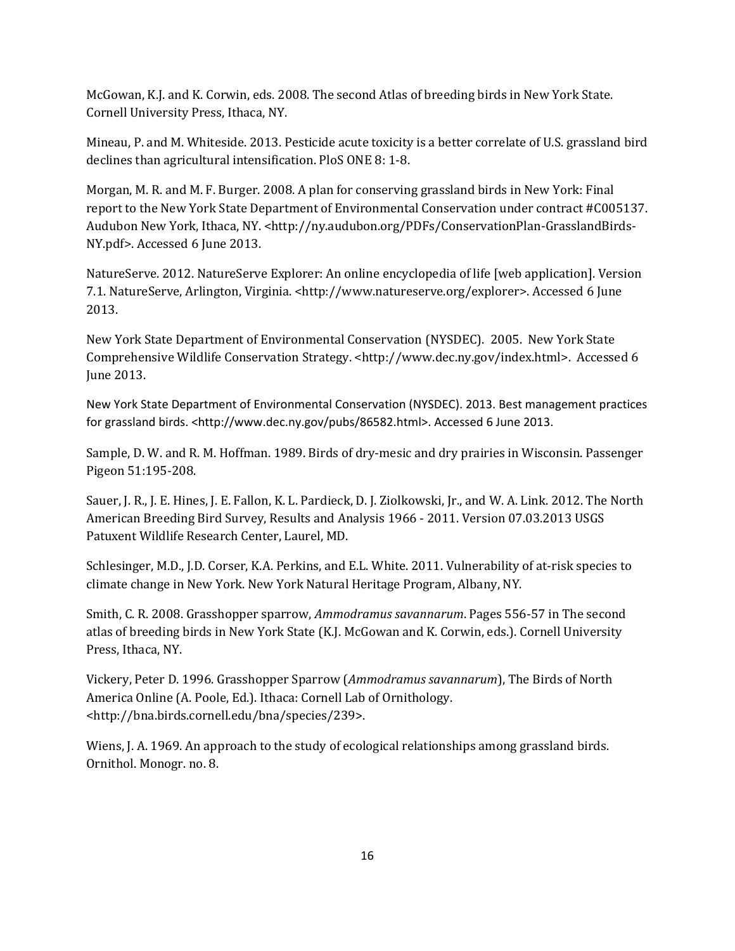McGowan, K.J. and K. Corwin, eds. 2008. The second Atlas of breeding birds in New York State. Cornell University Press, Ithaca, NY.

Mineau, P. and M. Whiteside. 2013. Pesticide acute toxicity is a better correlate of U.S. grassland bird declines than agricultural intensification. PloS ONE 8: 1-8.

Morgan, M. R. and M. F. Burger. 2008. A plan for conserving grassland birds in New York: Final report to the New York State Department of Environmental Conservation under contract #C005137. Audubon New York, Ithaca, NY. <http://ny.audubon.org/PDFs/ConservationPlan-GrasslandBirds-NY.pdf>. Accessed 6 June 2013.

NatureServe. 2012. NatureServe Explorer: An online encyclopedia of life [web application]. Version 7.1. NatureServe, Arlington, Virginia. <http://www.natureserve.org/explorer>. Accessed 6 June 2013.

New York State Department of Environmental Conservation (NYSDEC). 2005. New York State Comprehensive Wildlife Conservation Strategy. <http://www.dec.ny.gov/index.html>. Accessed 6 June 2013.

New York State Department of Environmental Conservation (NYSDEC). 2013. Best management practices for grassland birds. <http://www.dec.ny.gov/pubs/86582.html>. Accessed 6 June 2013.

Sample, D. W. and R. M. Hoffman. 1989. Birds of dry-mesic and dry prairies in Wisconsin. Passenger Pigeon 51:195-208.

Sauer, J. R., J. E. Hines, J. E. Fallon, K. L. Pardieck, D. J. Ziolkowski, Jr., and W. A. Link. 2012. The North American Breeding Bird Survey, Results and Analysis 1966 - 2011. Version 07.03.2013 [USGS](http://www.pwrc.usgs.gov/)  [Patuxent Wildlife Research Center,](http://www.pwrc.usgs.gov/) Laurel, MD.

Schlesinger, M.D., J.D. Corser, K.A. Perkins, and E.L. White. 2011. Vulnerability of at-risk species to climate change in New York. New York Natural Heritage Program, Albany, NY.

Smith, C. R. 2008. Grasshopper sparrow, *Ammodramus savannarum*. Pages 556-57 in The second atlas of breeding birds in New York State (K.J. McGowan and K. Corwin, eds.). Cornell University Press, Ithaca, NY.

Vickery, Peter D. 1996. Grasshopper Sparrow (*Ammodramus savannarum*), The Birds of North America Online (A. Poole, Ed.). Ithaca: Cornell Lab of Ornithology. <http://bna.birds.cornell.edu/bna/species/239>.

Wiens, J. A. 1969. An approach to the study of ecological relationships among grassland birds. Ornithol. Monogr. no. 8.